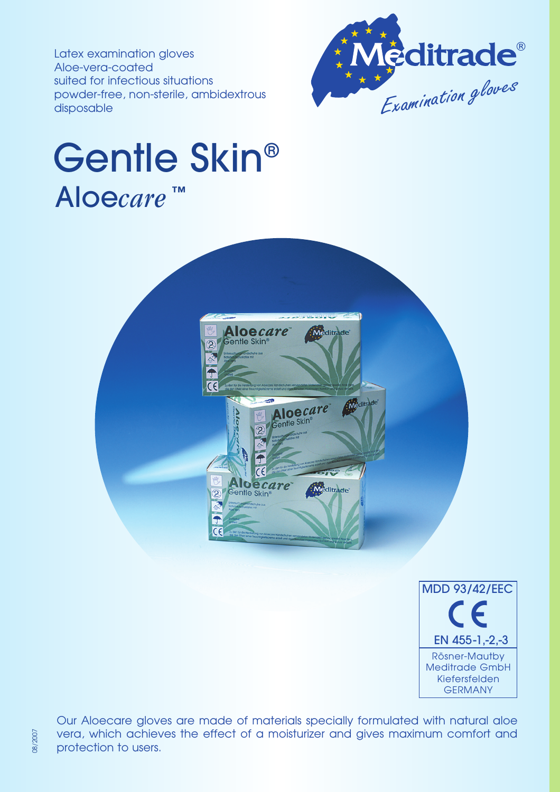Latex examination gloves Aloe-vera-coated suited for infectious situations powder-free, non-sterile, ambidextrous disposable



## Gentle Skin® Aloe*care* ™





Our Aloecare gloves are made of materials specially formulated with natural aloe vera, which achieves the effect of a moisturizer and gives maximum comfort and protection to users.